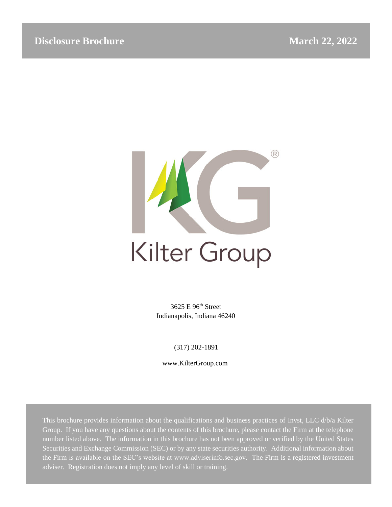

# Kilter Group

3625 E 96th Street Indianapolis, Indiana 46240

(317) 202-1891

www.KilterGroup.com

This brochure provides information about the qualifications and business practices of Invst, LLC d/b/a Kilter Group. If you have any questions about the contents of this brochure, please contact the Firm at the telephone number listed above. The information in this brochure has not been approved or verified by the United States Securities and Exchange Commission (SEC) or by any state securities authority. Additional information about the Firm is available on the SEC's website at www.adviserinfo.sec.gov. The Firm is a registered investment adviser. Registration does not imply any level of skill or training.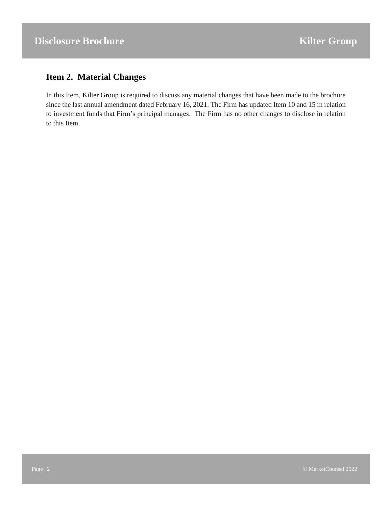## <span id="page-1-0"></span>**Item 2. Material Changes**

In this Item, Kilter Group is required to discuss any material changes that have been made to the brochure since the last annual amendment dated February 16, 2021. The Firm has updated Item 10 and 15 in relation to investment funds that Firm's principal manages. The Firm has no other changes to disclose in relation to this Item.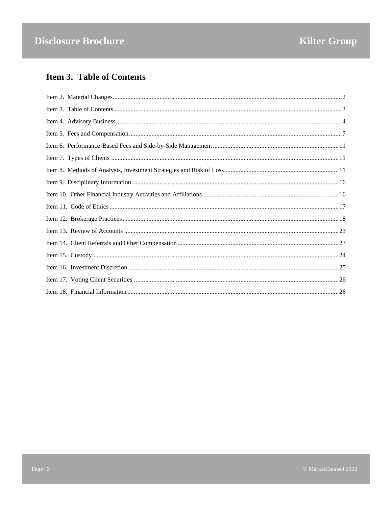# <span id="page-2-0"></span>**Item 3. Table of Contents**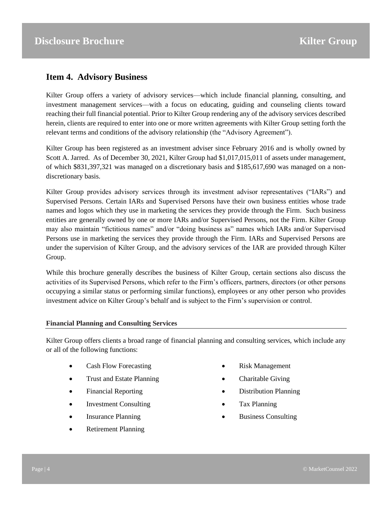## <span id="page-3-0"></span>**Item 4. Advisory Business**

Kilter Group offers a variety of advisory services—which include financial planning, consulting, and investment management services—with a focus on educating, guiding and counseling clients toward reaching their full financial potential. Prior to Kilter Group rendering any of the advisory services described herein, clients are required to enter into one or more written agreements with Kilter Group setting forth the relevant terms and conditions of the advisory relationship (the "Advisory Agreement").

Kilter Group has been registered as an investment adviser since February 2016 and is wholly owned by Scott A. Jarred. As of December 30, 2021, Kilter Group had \$1,017,015,011 of assets under management, of which \$831,397,321 was managed on a discretionary basis and \$185,617,690 was managed on a nondiscretionary basis.

Kilter Group provides advisory services through its investment advisor representatives ("IARs") and Supervised Persons. Certain IARs and Supervised Persons have their own business entities whose trade names and logos which they use in marketing the services they provide through the Firm. Such business entities are generally owned by one or more IARs and/or Supervised Persons, not the Firm. Kilter Group may also maintain "fictitious names" and/or "doing business as" names which IARs and/or Supervised Persons use in marketing the services they provide through the Firm. IARs and Supervised Persons are under the supervision of Kilter Group, and the advisory services of the IAR are provided through Kilter Group.

While this brochure generally describes the business of Kilter Group, certain sections also discuss the activities of its Supervised Persons, which refer to the Firm's officers, partners, directors (or other persons occupying a similar status or performing similar functions), employees or any other person who provides investment advice on Kilter Group's behalf and is subject to the Firm's supervision or control.

#### **Financial Planning and Consulting Services**

Kilter Group offers clients a broad range of financial planning and consulting services, which include any or all of the following functions:

- Cash Flow Forecasting
- Trust and Estate Planning
- Financial Reporting
- Investment Consulting
- Insurance Planning
- Retirement Planning
- Risk Management
- Charitable Giving
- Distribution Planning
- Tax Planning
- Business Consulting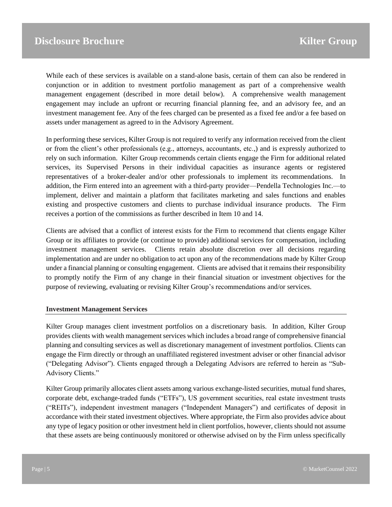While each of these services is available on a stand-alone basis, certain of them can also be rendered in conjunction or in addition to nvestment portfolio management as part of a comprehensive wealth management engagement (described in more detail below). A comprehensive wealth management engagement may include an upfront or recurring financial planning fee, and an advisory fee, and an investment management fee. Any of the fees charged can be presented as a fixed fee and/or a fee based on assets under management as agreed to in the Advisory Agreement.

In performing these services, Kilter Group is not required to verify any information received from the client or from the client's other professionals (e.g., attorneys, accountants, etc.,) and is expressly authorized to rely on such information. Kilter Group recommends certain clients engage the Firm for additional related services, its Supervised Persons in their individual capacities as insurance agents or registered representatives of a broker-dealer and/or other professionals to implement its recommendations. In addition, the Firm entered into an agreement with a third-party provider—Pendella Technologies Inc.—to implement, deliver and maintain a platform that facilitates marketing and sales functions and enables existing and prospective customers and clients to purchase individual insurance products. The Firm receives a portion of the commissions as further described in Item 10 and 14.

Clients are advised that a conflict of interest exists for the Firm to recommend that clients engage Kilter Group or its affiliates to provide (or continue to provide) additional services for compensation, including investment management services. Clients retain absolute discretion over all decisions regarding implementation and are under no obligation to act upon any of the recommendations made by Kilter Group under a financial planning or consulting engagement. Clients are advised that it remains their responsibility to promptly notify the Firm of any change in their financial situation or investment objectives for the purpose of reviewing, evaluating or revising Kilter Group's recommendations and/or services.

#### **Investment Management Services**

Kilter Group manages client investment portfolios on a discretionary basis. In addition, Kilter Group provides clients with wealth management services which includes a broad range of comprehensive financial planning and consulting services as well as discretionary management of investment portfolios. Clients can engage the Firm directly or through an unaffiliated registered investment adviser or other financial advisor ("Delegating Advisor"). Clients engaged through a Delegating Advisors are referred to herein as "Sub-Advisory Clients."

Kilter Group primarily allocates client assets among various exchange-listed securities, mutual fund shares, corporate debt, exchange-traded funds ("ETFs"), US government securities, real estate investment trusts ("REITs"), independent investment managers ("Independent Managers") and certificates of deposit in accordance with their stated investment objectives. Where appropriate, the Firm also provides advice about any type of legacy position or other investment held in client portfolios, however, clients should not assume that these assets are being continuously monitored or otherwise advised on by the Firm unless specifically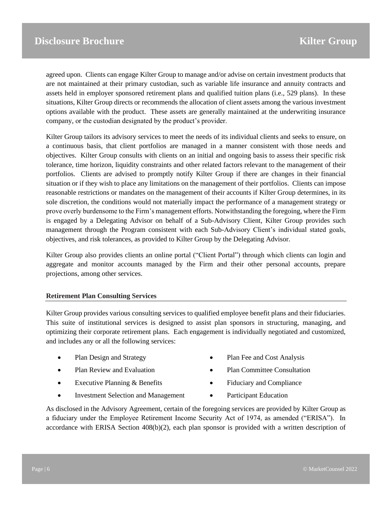agreed upon. Clients can engage Kilter Group to manage and/or advise on certain investment products that are not maintained at their primary custodian, such as variable life insurance and annuity contracts and assets held in employer sponsored retirement plans and qualified tuition plans (i.e., 529 plans). In these situations, Kilter Group directs or recommends the allocation of client assets among the various investment options available with the product. These assets are generally maintained at the underwriting insurance company, or the custodian designated by the product's provider.

Kilter Group tailors its advisory services to meet the needs of its individual clients and seeks to ensure, on a continuous basis, that client portfolios are managed in a manner consistent with those needs and objectives. Kilter Group consults with clients on an initial and ongoing basis to assess their specific risk tolerance, time horizon, liquidity constraints and other related factors relevant to the management of their portfolios. Clients are advised to promptly notify Kilter Group if there are changes in their financial situation or if they wish to place any limitations on the management of their portfolios. Clients can impose reasonable restrictions or mandates on the management of their accounts if Kilter Group determines, in its sole discretion, the conditions would not materially impact the performance of a management strategy or prove overly burdensome to the Firm's management efforts. Notwithstanding the foregoing, where the Firm is engaged by a Delegating Advisor on behalf of a Sub-Advisory Client, Kilter Group provides such management through the Program consistent with each Sub-Advisory Client's individual stated goals, objectives, and risk tolerances, as provided to Kilter Group by the Delegating Advisor.

Kilter Group also provides clients an online portal ("Client Portal") through which clients can login and aggregate and monitor accounts managed by the Firm and their other personal accounts, prepare projections, among other services.

#### **Retirement Plan Consulting Services**

Kilter Group provides various consulting services to qualified employee benefit plans and their fiduciaries. This suite of institutional services is designed to assist plan sponsors in structuring, managing, and optimizing their corporate retirement plans. Each engagement is individually negotiated and customized, and includes any or all the following services:

- Plan Design and Strategy
- Plan Review and Evaluation
- Executive Planning & Benefits
- Investment Selection and Management
- Plan Fee and Cost Analysis
- Plan Committee Consultation
- Fiduciary and Compliance
- Participant Education

As disclosed in the Advisory Agreement, certain of the foregoing services are provided by Kilter Group as a fiduciary under the Employee Retirement Income Security Act of 1974, as amended ("ERISA"). In accordance with ERISA Section 408(b)(2), each plan sponsor is provided with a written description of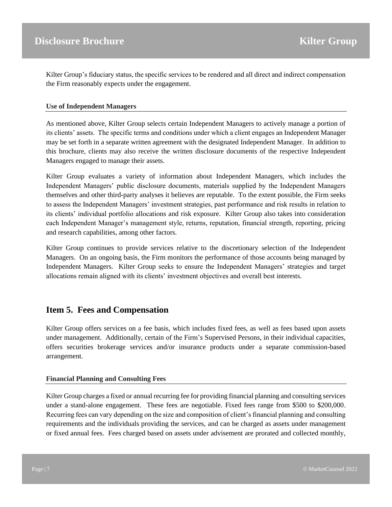Kilter Group's fiduciary status, the specific services to be rendered and all direct and indirect compensation the Firm reasonably expects under the engagement.

#### **Use of Independent Managers**

As mentioned above, Kilter Group selects certain Independent Managers to actively manage a portion of its clients' assets. The specific terms and conditions under which a client engages an Independent Manager may be set forth in a separate written agreement with the designated Independent Manager. In addition to this brochure, clients may also receive the written disclosure documents of the respective Independent Managers engaged to manage their assets.

Kilter Group evaluates a variety of information about Independent Managers, which includes the Independent Managers' public disclosure documents, materials supplied by the Independent Managers themselves and other third-party analyses it believes are reputable. To the extent possible, the Firm seeks to assess the Independent Managers' investment strategies, past performance and risk results in relation to its clients' individual portfolio allocations and risk exposure. Kilter Group also takes into consideration each Independent Manager's management style, returns, reputation, financial strength, reporting, pricing and research capabilities, among other factors.

Kilter Group continues to provide services relative to the discretionary selection of the Independent Managers. On an ongoing basis, the Firm monitors the performance of those accounts being managed by Independent Managers. Kilter Group seeks to ensure the Independent Managers' strategies and target allocations remain aligned with its clients' investment objectives and overall best interests.

## <span id="page-6-0"></span>**Item 5. Fees and Compensation**

Kilter Group offers services on a fee basis, which includes fixed fees, as well as fees based upon assets under management. Additionally, certain of the Firm's Supervised Persons, in their individual capacities, offers securities brokerage services and/or insurance products under a separate commission-based arrangement.

#### **Financial Planning and Consulting Fees**

Kilter Group charges a fixed or annual recurring fee for providing financial planning and consulting services under a stand-alone engagement. These fees are negotiable. Fixed fees range from \$500 to \$200,000. Recurring fees can vary depending on the size and composition of client's financial planning and consulting requirements and the individuals providing the services, and can be charged as assets under management or fixed annual fees. Fees charged based on assets under advisement are prorated and collected monthly,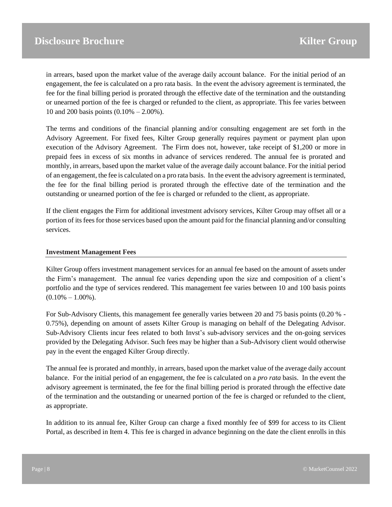in arrears, based upon the market value of the average daily account balance. For the initial period of an engagement, the fee is calculated on a pro rata basis. In the event the advisory agreement is terminated, the fee for the final billing period is prorated through the effective date of the termination and the outstanding or unearned portion of the fee is charged or refunded to the client, as appropriate. This fee varies between 10 and 200 basis points (0.10% – 2.00%).

The terms and conditions of the financial planning and/or consulting engagement are set forth in the Advisory Agreement. For fixed fees, Kilter Group generally requires payment or payment plan upon execution of the Advisory Agreement. The Firm does not, however, take receipt of \$1,200 or more in prepaid fees in excess of six months in advance of services rendered. The annual fee is prorated and monthly, in arrears, based upon the market value of the average daily account balance. For the initial period of an engagement, the fee is calculated on a pro rata basis. In the event the advisory agreement is terminated, the fee for the final billing period is prorated through the effective date of the termination and the outstanding or unearned portion of the fee is charged or refunded to the client, as appropriate.

If the client engages the Firm for additional investment advisory services, Kilter Group may offset all or a portion of its fees for those services based upon the amount paid for the financial planning and/or consulting services.

#### **Investment Management Fees**

Kilter Group offers investment management services for an annual fee based on the amount of assets under the Firm's management. The annual fee varies depending upon the size and composition of a client's portfolio and the type of services rendered. This management fee varies between 10 and 100 basis points  $(0.10\% - 1.00\%).$ 

For Sub-Advisory Clients, this management fee generally varies between 20 and 75 basis points (0.20 % - 0.75%), depending on amount of assets Kilter Group is managing on behalf of the Delegating Advisor. Sub-Advisory Clients incur fees related to both Invst's sub-advisory services and the on-going services provided by the Delegating Advisor. Such fees may be higher than a Sub-Advisory client would otherwise pay in the event the engaged Kilter Group directly.

The annual fee is prorated and monthly, in arrears, based upon the market value of the average daily account balance. For the initial period of an engagement, the fee is calculated on a *pro rata* basis. In the event the advisory agreement is terminated, the fee for the final billing period is prorated through the effective date of the termination and the outstanding or unearned portion of the fee is charged or refunded to the client, as appropriate.

In addition to its annual fee, Kilter Group can charge a fixed monthly fee of \$99 for access to its Client Portal, as described in Item 4. This fee is charged in advance beginning on the date the client enrolls in this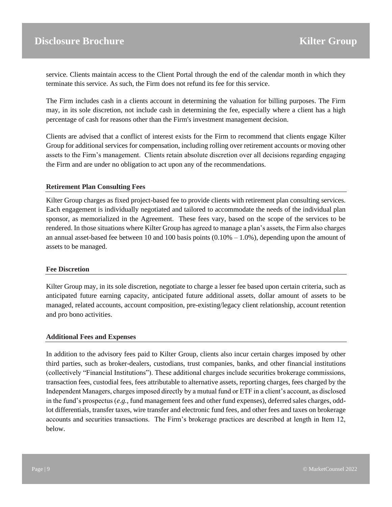service. Clients maintain access to the Client Portal through the end of the calendar month in which they terminate this service. As such, the Firm does not refund its fee for this service.

The Firm includes cash in a clients account in determining the valuation for billing purposes. The Firm may, in its sole discretion, not include cash in determining the fee, especially where a client has a high percentage of cash for reasons other than the Firm's investment management decision.

Clients are advised that a conflict of interest exists for the Firm to recommend that clients engage Kilter Group for additional services for compensation, including rolling over retirement accounts or moving other assets to the Firm's management. Clients retain absolute discretion over all decisions regarding engaging the Firm and are under no obligation to act upon any of the recommendations.

#### **Retirement Plan Consulting Fees**

Kilter Group charges as fixed project-based fee to provide clients with retirement plan consulting services. Each engagement is individually negotiated and tailored to accommodate the needs of the individual plan sponsor, as memorialized in the Agreement. These fees vary, based on the scope of the services to be rendered. In those situations where Kilter Group has agreed to manage a plan's assets, the Firm also charges an annual asset-based fee between 10 and 100 basis points  $(0.10\% - 1.0\%)$ , depending upon the amount of assets to be managed.

#### **Fee Discretion**

Kilter Group may, in its sole discretion, negotiate to charge a lesser fee based upon certain criteria, such as anticipated future earning capacity, anticipated future additional assets, dollar amount of assets to be managed, related accounts, account composition, pre-existing/legacy client relationship, account retention and pro bono activities.

#### **Additional Fees and Expenses**

In addition to the advisory fees paid to Kilter Group, clients also incur certain charges imposed by other third parties, such as broker-dealers, custodians, trust companies, banks, and other financial institutions (collectively "Financial Institutions"). These additional charges include securities brokerage commissions, transaction fees, custodial fees, fees attributable to alternative assets, reporting charges, fees charged by the Independent Managers, charges imposed directly by a mutual fund or ETF in a client's account, as disclosed in the fund's prospectus (*e.g.*, fund management fees and other fund expenses), deferred sales charges, oddlot differentials, transfer taxes, wire transfer and electronic fund fees, and other fees and taxes on brokerage accounts and securities transactions. The Firm's brokerage practices are described at length in Item 12, below.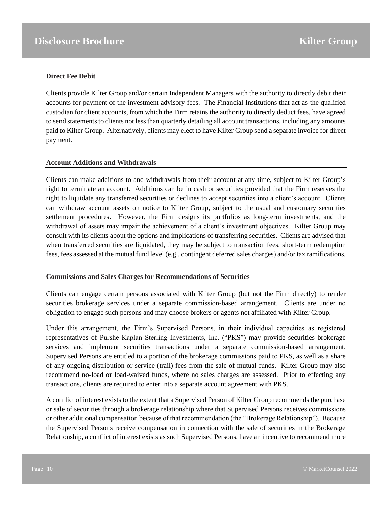#### **Direct Fee Debit**

Clients provide Kilter Group and/or certain Independent Managers with the authority to directly debit their accounts for payment of the investment advisory fees. The Financial Institutions that act as the qualified custodian for client accounts, from which the Firm retains the authority to directly deduct fees, have agreed to send statements to clients not less than quarterly detailing all account transactions, including any amounts paid to Kilter Group. Alternatively, clients may elect to have Kilter Group send a separate invoice for direct payment.

#### **Account Additions and Withdrawals**

Clients can make additions to and withdrawals from their account at any time, subject to Kilter Group's right to terminate an account. Additions can be in cash or securities provided that the Firm reserves the right to liquidate any transferred securities or declines to accept securities into a client's account. Clients can withdraw account assets on notice to Kilter Group, subject to the usual and customary securities settlement procedures. However, the Firm designs its portfolios as long-term investments, and the withdrawal of assets may impair the achievement of a client's investment objectives. Kilter Group may consult with its clients about the options and implications of transferring securities. Clients are advised that when transferred securities are liquidated, they may be subject to transaction fees, short-term redemption fees, fees assessed at the mutual fund level (e.g., contingent deferred sales charges) and/or tax ramifications.

#### **Commissions and Sales Charges for Recommendations of Securities**

Clients can engage certain persons associated with Kilter Group (but not the Firm directly) to render securities brokerage services under a separate commission-based arrangement. Clients are under no obligation to engage such persons and may choose brokers or agents not affiliated with Kilter Group.

Under this arrangement, the Firm's Supervised Persons, in their individual capacities as registered representatives of Purshe Kaplan Sterling Investments, Inc. ("PKS") may provide securities brokerage services and implement securities transactions under a separate commission-based arrangement. Supervised Persons are entitled to a portion of the brokerage commissions paid to PKS, as well as a share of any ongoing distribution or service (trail) fees from the sale of mutual funds. Kilter Group may also recommend no-load or load-waived funds, where no sales charges are assessed. Prior to effecting any transactions, clients are required to enter into a separate account agreement with PKS.

A conflict of interest exists to the extent that a Supervised Person of Kilter Group recommends the purchase or sale of securities through a brokerage relationship where that Supervised Persons receives commissions or other additional compensation because of that recommendation (the "Brokerage Relationship"). Because the Supervised Persons receive compensation in connection with the sale of securities in the Brokerage Relationship, a conflict of interest exists as such Supervised Persons, have an incentive to recommend more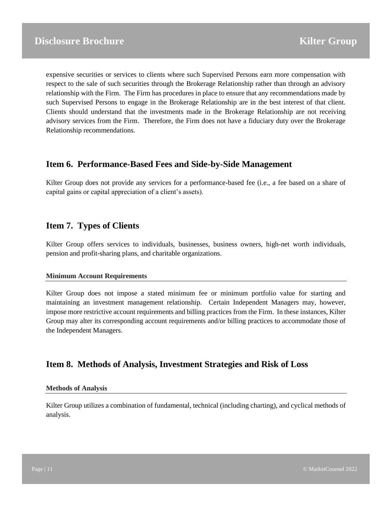expensive securities or services to clients where such Supervised Persons earn more compensation with respect to the sale of such securities through the Brokerage Relationship rather than through an advisory relationship with the Firm. The Firm has procedures in place to ensure that any recommendations made by such Supervised Persons to engage in the Brokerage Relationship are in the best interest of that client. Clients should understand that the investments made in the Brokerage Relationship are not receiving advisory services from the Firm. Therefore, the Firm does not have a fiduciary duty over the Brokerage Relationship recommendations.

## <span id="page-10-0"></span>**Item 6. Performance-Based Fees and Side-by-Side Management**

Kilter Group does not provide any services for a performance-based fee (i.e., a fee based on a share of capital gains or capital appreciation of a client's assets).

### <span id="page-10-1"></span>**Item 7. Types of Clients**

Kilter Group offers services to individuals, businesses, business owners, high-net worth individuals, pension and profit-sharing plans, and charitable organizations.

#### **Minimum Account Requirements**

Kilter Group does not impose a stated minimum fee or minimum portfolio value for starting and maintaining an investment management relationship. Certain Independent Managers may, however, impose more restrictive account requirements and billing practices from the Firm. In these instances, Kilter Group may alter its corresponding account requirements and/or billing practices to accommodate those of the Independent Managers.

## <span id="page-10-2"></span>**Item 8. Methods of Analysis, Investment Strategies and Risk of Loss**

#### **Methods of Analysis**

Kilter Group utilizes a combination of fundamental, technical (including charting), and cyclical methods of analysis.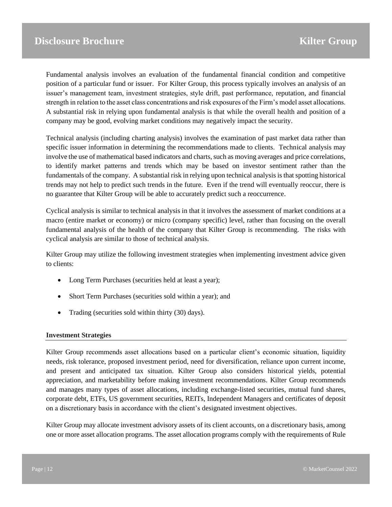Fundamental analysis involves an evaluation of the fundamental financial condition and competitive position of a particular fund or issuer. For Kilter Group, this process typically involves an analysis of an issuer's management team, investment strategies, style drift, past performance, reputation, and financial strength in relation to the asset class concentrations and risk exposures of the Firm's model asset allocations. A substantial risk in relying upon fundamental analysis is that while the overall health and position of a company may be good, evolving market conditions may negatively impact the security.

Technical analysis (including charting analysis) involves the examination of past market data rather than specific issuer information in determining the recommendations made to clients. Technical analysis may involve the use of mathematical based indicators and charts, such as moving averages and price correlations, to identify market patterns and trends which may be based on investor sentiment rather than the fundamentals of the company. A substantial risk in relying upon technical analysis is that spotting historical trends may not help to predict such trends in the future. Even if the trend will eventually reoccur, there is no guarantee that Kilter Group will be able to accurately predict such a reoccurrence.

Cyclical analysis is similar to technical analysis in that it involves the assessment of market conditions at a macro (entire market or economy) or micro (company specific) level, rather than focusing on the overall fundamental analysis of the health of the company that Kilter Group is recommending. The risks with cyclical analysis are similar to those of technical analysis.

Kilter Group may utilize the following investment strategies when implementing investment advice given to clients:

- Long Term Purchases (securities held at least a year);
- Short Term Purchases (securities sold within a year); and
- Trading (securities sold within thirty (30) days).

#### **Investment Strategies**

Kilter Group recommends asset allocations based on a particular client's economic situation, liquidity needs, risk tolerance, proposed investment period, need for diversification, reliance upon current income, and present and anticipated tax situation. Kilter Group also considers historical yields, potential appreciation, and marketability before making investment recommendations. Kilter Group recommends and manages many types of asset allocations, including exchange-listed securities, mutual fund shares, corporate debt, ETFs, US government securities, REITs, Independent Managers and certificates of deposit on a discretionary basis in accordance with the client's designated investment objectives.

Kilter Group may allocate investment advisory assets of its client accounts, on a discretionary basis, among one or more asset allocation programs. The asset allocation programs comply with the requirements of Rule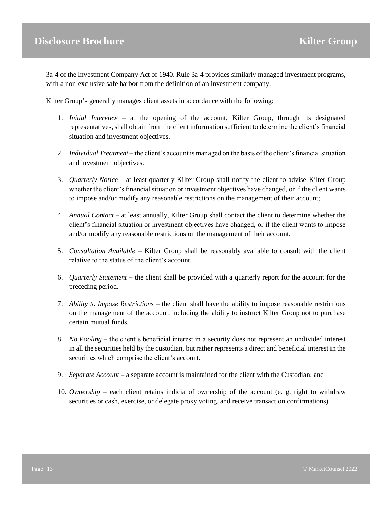3a-4 of the Investment Company Act of 1940. Rule 3a-4 provides similarly managed investment programs, with a non-exclusive safe harbor from the definition of an investment company.

Kilter Group's generally manages client assets in accordance with the following:

- 1. *Initial Interview* at the opening of the account, Kilter Group, through its designated representatives, shall obtain from the client information sufficient to determine the client's financial situation and investment objectives.
- 2. *Individual Treatment* the client's account is managed on the basis of the client's financial situation and investment objectives.
- 3. *Quarterly Notice*  at least quarterly Kilter Group shall notify the client to advise Kilter Group whether the client's financial situation or investment objectives have changed, or if the client wants to impose and/or modify any reasonable restrictions on the management of their account;
- 4. *Annual Contact*  at least annually, Kilter Group shall contact the client to determine whether the client's financial situation or investment objectives have changed, or if the client wants to impose and/or modify any reasonable restrictions on the management of their account.
- 5. *Consultation Available*  Kilter Group shall be reasonably available to consult with the client relative to the status of the client's account.
- 6. *Quarterly Statement*  the client shall be provided with a quarterly report for the account for the preceding period.
- 7. *Ability to Impose Restrictions*  the client shall have the ability to impose reasonable restrictions on the management of the account, including the ability to instruct Kilter Group not to purchase certain mutual funds.
- 8. *No Pooling*  the client's beneficial interest in a security does not represent an undivided interest in all the securities held by the custodian, but rather represents a direct and beneficial interest in the securities which comprise the client's account.
- 9. *Separate Account*  a separate account is maintained for the client with the Custodian; and
- 10. *Ownership* each client retains indicia of ownership of the account (e. g. right to withdraw securities or cash, exercise, or delegate proxy voting, and receive transaction confirmations).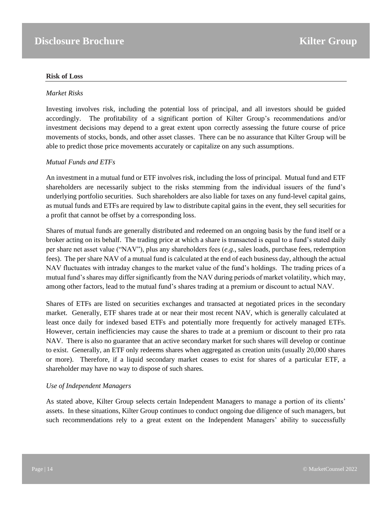#### **Risk of Loss**

#### *Market Risks*

Investing involves risk, including the potential loss of principal, and all investors should be guided accordingly. The profitability of a significant portion of Kilter Group's recommendations and/or investment decisions may depend to a great extent upon correctly assessing the future course of price movements of stocks, bonds, and other asset classes. There can be no assurance that Kilter Group will be able to predict those price movements accurately or capitalize on any such assumptions.

#### *Mutual Funds and ETFs*

An investment in a mutual fund or ETF involves risk, including the loss of principal. Mutual fund and ETF shareholders are necessarily subject to the risks stemming from the individual issuers of the fund's underlying portfolio securities. Such shareholders are also liable for taxes on any fund-level capital gains, as mutual funds and ETFs are required by law to distribute capital gains in the event, they sell securities for a profit that cannot be offset by a corresponding loss.

Shares of mutual funds are generally distributed and redeemed on an ongoing basis by the fund itself or a broker acting on its behalf. The trading price at which a share is transacted is equal to a fund's stated daily per share net asset value ("NAV"), plus any shareholders fees (*e.g*., sales loads, purchase fees, redemption fees). The per share NAV of a mutual fund is calculated at the end of each business day, although the actual NAV fluctuates with intraday changes to the market value of the fund's holdings. The trading prices of a mutual fund's shares may differ significantly from the NAV during periods of market volatility, which may, among other factors, lead to the mutual fund's shares trading at a premium or discount to actual NAV.

Shares of ETFs are listed on securities exchanges and transacted at negotiated prices in the secondary market. Generally, ETF shares trade at or near their most recent NAV, which is generally calculated at least once daily for indexed based ETFs and potentially more frequently for actively managed ETFs. However, certain inefficiencies may cause the shares to trade at a premium or discount to their pro rata NAV. There is also no guarantee that an active secondary market for such shares will develop or continue to exist. Generally, an ETF only redeems shares when aggregated as creation units (usually 20,000 shares or more). Therefore, if a liquid secondary market ceases to exist for shares of a particular ETF, a shareholder may have no way to dispose of such shares.

#### *Use of Independent Managers*

As stated above, Kilter Group selects certain Independent Managers to manage a portion of its clients' assets. In these situations, Kilter Group continues to conduct ongoing due diligence of such managers, but such recommendations rely to a great extent on the Independent Managers' ability to successfully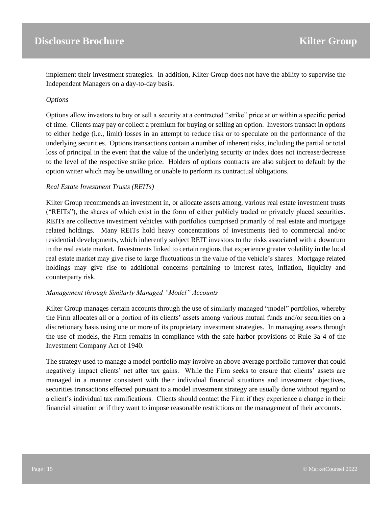implement their investment strategies. In addition, Kilter Group does not have the ability to supervise the Independent Managers on a day-to-day basis.

#### *Options*

Options allow investors to buy or sell a security at a contracted "strike" price at or within a specific period of time. Clients may pay or collect a premium for buying or selling an option. Investors transact in options to either hedge (i.e., limit) losses in an attempt to reduce risk or to speculate on the performance of the underlying securities. Options transactions contain a number of inherent risks, including the partial or total loss of principal in the event that the value of the underlying security or index does not increase/decrease to the level of the respective strike price. Holders of options contracts are also subject to default by the option writer which may be unwilling or unable to perform its contractual obligations.

#### *Real Estate Investment Trusts (REITs)*

Kilter Group recommends an investment in, or allocate assets among, various real estate investment trusts ("REITs"), the shares of which exist in the form of either publicly traded or privately placed securities. REITs are collective investment vehicles with portfolios comprised primarily of real estate and mortgage related holdings. Many REITs hold heavy concentrations of investments tied to commercial and/or residential developments, which inherently subject REIT investors to the risks associated with a downturn in the real estate market. Investments linked to certain regions that experience greater volatility in the local real estate market may give rise to large fluctuations in the value of the vehicle's shares. Mortgage related holdings may give rise to additional concerns pertaining to interest rates, inflation, liquidity and counterparty risk.

#### *Management through Similarly Managed "Model" Accounts*

Kilter Group manages certain accounts through the use of similarly managed "model" portfolios, whereby the Firm allocates all or a portion of its clients' assets among various mutual funds and/or securities on a discretionary basis using one or more of its proprietary investment strategies. In managing assets through the use of models, the Firm remains in compliance with the safe harbor provisions of Rule 3a-4 of the Investment Company Act of 1940.

The strategy used to manage a model portfolio may involve an above average portfolio turnover that could negatively impact clients' net after tax gains. While the Firm seeks to ensure that clients' assets are managed in a manner consistent with their individual financial situations and investment objectives, securities transactions effected pursuant to a model investment strategy are usually done without regard to a client's individual tax ramifications. Clients should contact the Firm if they experience a change in their financial situation or if they want to impose reasonable restrictions on the management of their accounts.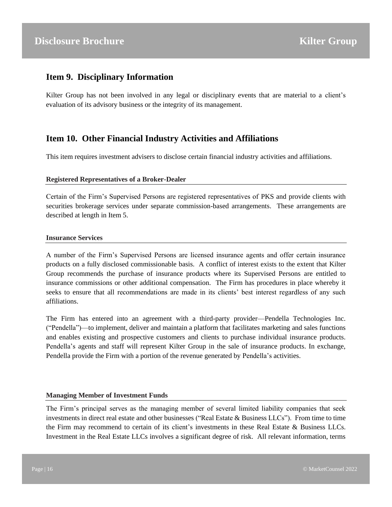## <span id="page-15-0"></span>**Item 9. Disciplinary Information**

Kilter Group has not been involved in any legal or disciplinary events that are material to a client's evaluation of its advisory business or the integrity of its management.

## <span id="page-15-1"></span>**Item 10. Other Financial Industry Activities and Affiliations**

This item requires investment advisers to disclose certain financial industry activities and affiliations.

#### **Registered Representatives of a Broker-Dealer**

Certain of the Firm's Supervised Persons are registered representatives of PKS and provide clients with securities brokerage services under separate commission-based arrangements. These arrangements are described at length in Item 5.

#### **Insurance Services**

A number of the Firm's Supervised Persons are licensed insurance agents and offer certain insurance products on a fully disclosed commissionable basis. A conflict of interest exists to the extent that Kilter Group recommends the purchase of insurance products where its Supervised Persons are entitled to insurance commissions or other additional compensation. The Firm has procedures in place whereby it seeks to ensure that all recommendations are made in its clients' best interest regardless of any such affiliations.

The Firm has entered into an agreement with a third-party provider—Pendella Technologies Inc. ("Pendella")—to implement, deliver and maintain a platform that facilitates marketing and sales functions and enables existing and prospective customers and clients to purchase individual insurance products. Pendella's agents and staff will represent Kilter Group in the sale of insurance products. In exchange, Pendella provide the Firm with a portion of the revenue generated by Pendella's activities.

#### **Managing Member of Investment Funds**

The Firm's principal serves as the managing member of several limited liability companies that seek investments in direct real estate and other businesses ("Real Estate & Business LLCs"). From time to time the Firm may recommend to certain of its client's investments in these Real Estate & Business LLCs. Investment in the Real Estate LLCs involves a significant degree of risk. All relevant information, terms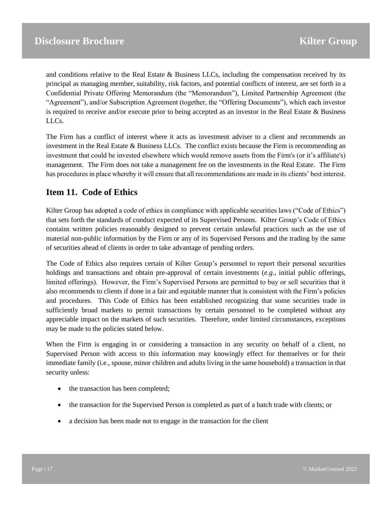and conditions relative to the Real Estate & Business LLCs, including the compensation received by its principal as managing member, suitability, risk factors, and potential conflicts of interest, are set forth in a Confidential Private Offering Memorandum (the "Memorandum"), Limited Partnership Agreement (the "Agreement"), and/or Subscription Agreement (together, the "Offering Documents"), which each investor is required to receive and/or execute prior to being accepted as an investor in the Real Estate & Business LLCs.

The Firm has a conflict of interest where it acts as investment adviser to a client and recommends an investment in the Real Estate & Business LLCs. The conflict exists because the Firm is recommending an investment that could be invested elsewhere which would remove assets from the Firm's (or it's affiliate's) management. The Firm does not take a management fee on the investments in the Real Estate. The Firm has procedures in place whereby it will ensure that all recommendations are made in its clients' best interest.

## <span id="page-16-0"></span>**Item 11. Code of Ethics**

Kilter Group has adopted a code of ethics in compliance with applicable securities laws ("Code of Ethics") that sets forth the standards of conduct expected of its Supervised Persons. Kilter Group's Code of Ethics contains written policies reasonably designed to prevent certain unlawful practices such as the use of material non-public information by the Firm or any of its Supervised Persons and the trading by the same of securities ahead of clients in order to take advantage of pending orders.

The Code of Ethics also requires certain of Kilter Group's personnel to report their personal securities holdings and transactions and obtain pre-approval of certain investments (*e.g*., initial public offerings, limited offerings). However, the Firm's Supervised Persons are permitted to buy or sell securities that it also recommends to clients if done in a fair and equitable manner that is consistent with the Firm's policies and procedures. This Code of Ethics has been established recognizing that some securities trade in sufficiently broad markets to permit transactions by certain personnel to be completed without any appreciable impact on the markets of such securities. Therefore, under limited circumstances, exceptions may be made to the policies stated below.

When the Firm is engaging in or considering a transaction in any security on behalf of a client, no Supervised Person with access to this information may knowingly effect for themselves or for their immediate family (i.e., spouse, minor children and adults living in the same household) a transaction in that security unless:

- the transaction has been completed;
- the transaction for the Supervised Person is completed as part of a batch trade with clients; or
- a decision has been made not to engage in the transaction for the client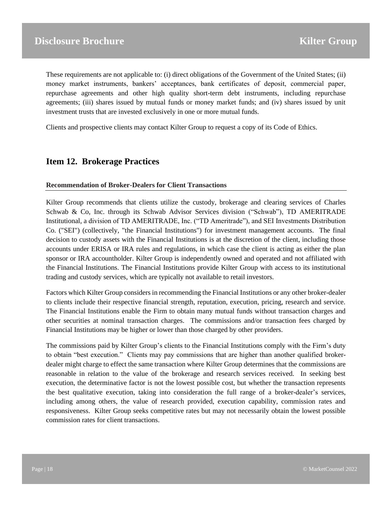These requirements are not applicable to: (i) direct obligations of the Government of the United States; (ii) money market instruments, bankers' acceptances, bank certificates of deposit, commercial paper, repurchase agreements and other high quality short-term debt instruments, including repurchase agreements; (iii) shares issued by mutual funds or money market funds; and (iv) shares issued by unit investment trusts that are invested exclusively in one or more mutual funds.

Clients and prospective clients may contact Kilter Group to request a copy of its Code of Ethics.

## <span id="page-17-0"></span>**Item 12. Brokerage Practices**

#### **Recommendation of Broker-Dealers for Client Transactions**

Kilter Group recommends that clients utilize the custody, brokerage and clearing services of Charles Schwab & Co, Inc. through its Schwab Advisor Services division ("Schwab"), TD AMERITRADE Institutional, a division of TD AMERITRADE, Inc. ("TD Ameritrade"), and SEI Investments Distribution Co. ("SEI") (collectively, "the Financial Institutions") for investment management accounts. The final decision to custody assets with the Financial Institutions is at the discretion of the client, including those accounts under ERISA or IRA rules and regulations, in which case the client is acting as either the plan sponsor or IRA accountholder. Kilter Group is independently owned and operated and not affiliated with the Financial Institutions. The Financial Institutions provide Kilter Group with access to its institutional trading and custody services, which are typically not available to retail investors.

Factors which Kilter Group considers in recommending the Financial Institutions or any other broker-dealer to clients include their respective financial strength, reputation, execution, pricing, research and service. The Financial Institutions enable the Firm to obtain many mutual funds without transaction charges and other securities at nominal transaction charges. The commissions and/or transaction fees charged by Financial Institutions may be higher or lower than those charged by other providers.

The commissions paid by Kilter Group's clients to the Financial Institutions comply with the Firm's duty to obtain "best execution." Clients may pay commissions that are higher than another qualified brokerdealer might charge to effect the same transaction where Kilter Group determines that the commissions are reasonable in relation to the value of the brokerage and research services received. In seeking best execution, the determinative factor is not the lowest possible cost, but whether the transaction represents the best qualitative execution, taking into consideration the full range of a broker-dealer's services, including among others, the value of research provided, execution capability, commission rates and responsiveness. Kilter Group seeks competitive rates but may not necessarily obtain the lowest possible commission rates for client transactions.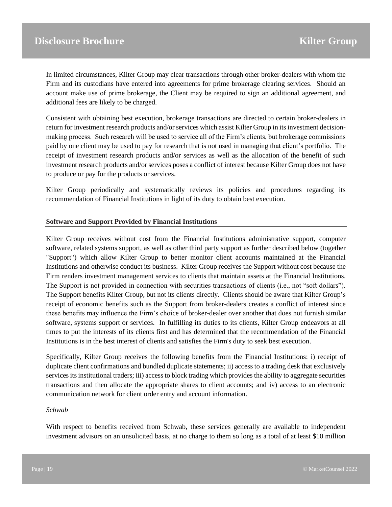In limited circumstances, Kilter Group may clear transactions through other broker-dealers with whom the Firm and its custodians have entered into agreements for prime brokerage clearing services. Should an account make use of prime brokerage, the Client may be required to sign an additional agreement, and additional fees are likely to be charged.

Consistent with obtaining best execution, brokerage transactions are directed to certain broker-dealers in return for investment research products and/or services which assist Kilter Group in its investment decisionmaking process. Such research will be used to service all of the Firm's clients, but brokerage commissions paid by one client may be used to pay for research that is not used in managing that client's portfolio. The receipt of investment research products and/or services as well as the allocation of the benefit of such investment research products and/or services poses a conflict of interest because Kilter Group does not have to produce or pay for the products or services.

Kilter Group periodically and systematically reviews its policies and procedures regarding its recommendation of Financial Institutions in light of its duty to obtain best execution.

#### **Software and Support Provided by Financial Institutions**

Kilter Group receives without cost from the Financial Institutions administrative support, computer software, related systems support, as well as other third party support as further described below (together "Support") which allow Kilter Group to better monitor client accounts maintained at the Financial Institutions and otherwise conduct its business. Kilter Group receives the Support without cost because the Firm renders investment management services to clients that maintain assets at the Financial Institutions. The Support is not provided in connection with securities transactions of clients (i.e., not "soft dollars"). The Support benefits Kilter Group, but not its clients directly. Clients should be aware that Kilter Group's receipt of economic benefits such as the Support from broker-dealers creates a conflict of interest since these benefits may influence the Firm's choice of broker-dealer over another that does not furnish similar software, systems support or services. In fulfilling its duties to its clients, Kilter Group endeavors at all times to put the interests of its clients first and has determined that the recommendation of the Financial Institutions is in the best interest of clients and satisfies the Firm's duty to seek best execution.

Specifically, Kilter Group receives the following benefits from the Financial Institutions: i) receipt of duplicate client confirmations and bundled duplicate statements; ii) access to a trading desk that exclusively services its institutional traders; iii) access to block trading which provides the ability to aggregate securities transactions and then allocate the appropriate shares to client accounts; and iv) access to an electronic communication network for client order entry and account information.

#### *Schwab*

With respect to benefits received from Schwab, these services generally are available to independent investment advisors on an unsolicited basis, at no charge to them so long as a total of at least \$10 million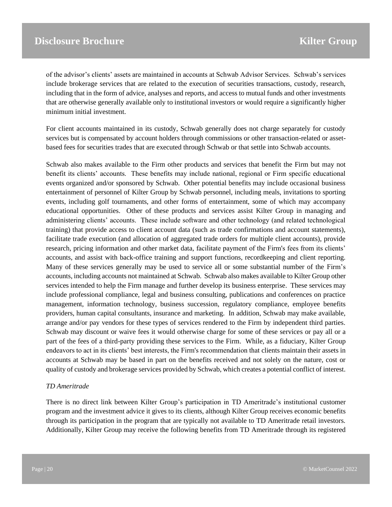of the advisor's clients' assets are maintained in accounts at Schwab Advisor Services. Schwab's services include brokerage services that are related to the execution of securities transactions, custody, research, including that in the form of advice, analyses and reports, and access to mutual funds and other investments that are otherwise generally available only to institutional investors or would require a significantly higher minimum initial investment.

For client accounts maintained in its custody, Schwab generally does not charge separately for custody services but is compensated by account holders through commissions or other transaction-related or assetbased fees for securities trades that are executed through Schwab or that settle into Schwab accounts.

Schwab also makes available to the Firm other products and services that benefit the Firm but may not benefit its clients' accounts. These benefits may include national, regional or Firm specific educational events organized and/or sponsored by Schwab. Other potential benefits may include occasional business entertainment of personnel of Kilter Group by Schwab personnel, including meals, invitations to sporting events, including golf tournaments, and other forms of entertainment, some of which may accompany educational opportunities. Other of these products and services assist Kilter Group in managing and administering clients' accounts. These include software and other technology (and related technological training) that provide access to client account data (such as trade confirmations and account statements), facilitate trade execution (and allocation of aggregated trade orders for multiple client accounts), provide research, pricing information and other market data, facilitate payment of the Firm's fees from its clients' accounts, and assist with back-office training and support functions, recordkeeping and client reporting. Many of these services generally may be used to service all or some substantial number of the Firm's accounts, including accounts not maintained at Schwab. Schwab also makes available to Kilter Group other services intended to help the Firm manage and further develop its business enterprise. These services may include professional compliance, legal and business consulting, publications and conferences on practice management, information technology, business succession, regulatory compliance, employee benefits providers, human capital consultants, insurance and marketing. In addition, Schwab may make available, arrange and/or pay vendors for these types of services rendered to the Firm by independent third parties. Schwab may discount or waive fees it would otherwise charge for some of these services or pay all or a part of the fees of a third-party providing these services to the Firm. While, as a fiduciary, Kilter Group endeavors to act in its clients' best interests, the Firm's recommendation that clients maintain their assets in accounts at Schwab may be based in part on the benefits received and not solely on the nature, cost or quality of custody and brokerage services provided by Schwab, which creates a potential conflict of interest.

#### *TD Ameritrade*

There is no direct link between Kilter Group's participation in TD Ameritrade's institutional customer program and the investment advice it gives to its clients, although Kilter Group receives economic benefits through its participation in the program that are typically not available to TD Ameritrade retail investors. Additionally, Kilter Group may receive the following benefits from TD Ameritrade through its registered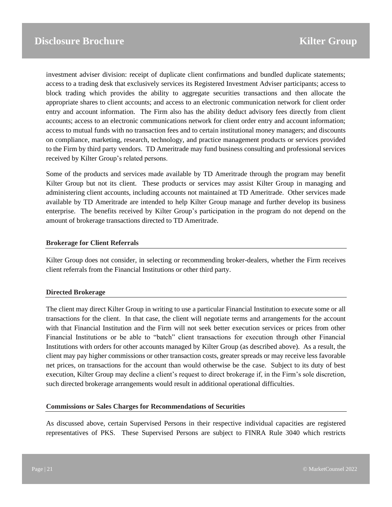investment adviser division: receipt of duplicate client confirmations and bundled duplicate statements; access to a trading desk that exclusively services its Registered Investment Adviser participants; access to block trading which provides the ability to aggregate securities transactions and then allocate the appropriate shares to client accounts; and access to an electronic communication network for client order entry and account information. The Firm also has the ability deduct advisory fees directly from client accounts; access to an electronic communications network for client order entry and account information; access to mutual funds with no transaction fees and to certain institutional money managers; and discounts on compliance, marketing, research, technology, and practice management products or services provided to the Firm by third party vendors. TD Ameritrade may fund business consulting and professional services received by Kilter Group's related persons.

Some of the products and services made available by TD Ameritrade through the program may benefit Kilter Group but not its client. These products or services may assist Kilter Group in managing and administering client accounts, including accounts not maintained at TD Ameritrade. Other services made available by TD Ameritrade are intended to help Kilter Group manage and further develop its business enterprise. The benefits received by Kilter Group's participation in the program do not depend on the amount of brokerage transactions directed to TD Ameritrade.

#### **Brokerage for Client Referrals**

Kilter Group does not consider, in selecting or recommending broker-dealers, whether the Firm receives client referrals from the Financial Institutions or other third party.

#### **Directed Brokerage**

The client may direct Kilter Group in writing to use a particular Financial Institution to execute some or all transactions for the client. In that case, the client will negotiate terms and arrangements for the account with that Financial Institution and the Firm will not seek better execution services or prices from other Financial Institutions or be able to "batch" client transactions for execution through other Financial Institutions with orders for other accounts managed by Kilter Group (as described above). As a result, the client may pay higher commissions or other transaction costs, greater spreads or may receive less favorable net prices, on transactions for the account than would otherwise be the case. Subject to its duty of best execution, Kilter Group may decline a client's request to direct brokerage if, in the Firm's sole discretion, such directed brokerage arrangements would result in additional operational difficulties.

#### **Commissions or Sales Charges for Recommendations of Securities**

As discussed above, certain Supervised Persons in their respective individual capacities are registered representatives of PKS. These Supervised Persons are subject to FINRA Rule 3040 which restricts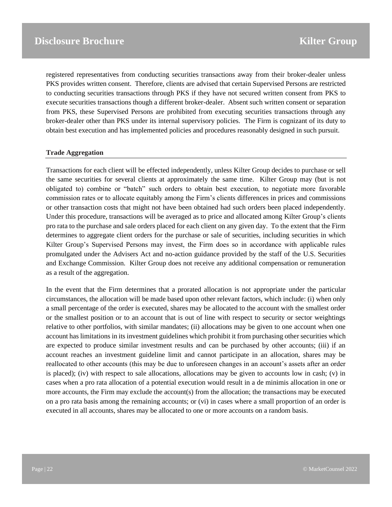registered representatives from conducting securities transactions away from their broker-dealer unless PKS provides written consent. Therefore, clients are advised that certain Supervised Persons are restricted to conducting securities transactions through PKS if they have not secured written consent from PKS to execute securities transactions though a different broker-dealer. Absent such written consent or separation from PKS, these Supervised Persons are prohibited from executing securities transactions through any broker-dealer other than PKS under its internal supervisory policies. The Firm is cognizant of its duty to obtain best execution and has implemented policies and procedures reasonably designed in such pursuit.

#### **Trade Aggregation**

Transactions for each client will be effected independently, unless Kilter Group decides to purchase or sell the same securities for several clients at approximately the same time. Kilter Group may (but is not obligated to) combine or "batch" such orders to obtain best execution, to negotiate more favorable commission rates or to allocate equitably among the Firm's clients differences in prices and commissions or other transaction costs that might not have been obtained had such orders been placed independently. Under this procedure, transactions will be averaged as to price and allocated among Kilter Group's clients pro rata to the purchase and sale orders placed for each client on any given day. To the extent that the Firm determines to aggregate client orders for the purchase or sale of securities, including securities in which Kilter Group's Supervised Persons may invest, the Firm does so in accordance with applicable rules promulgated under the Advisers Act and no-action guidance provided by the staff of the U.S. Securities and Exchange Commission. Kilter Group does not receive any additional compensation or remuneration as a result of the aggregation.

In the event that the Firm determines that a prorated allocation is not appropriate under the particular circumstances, the allocation will be made based upon other relevant factors, which include: (i) when only a small percentage of the order is executed, shares may be allocated to the account with the smallest order or the smallest position or to an account that is out of line with respect to security or sector weightings relative to other portfolios, with similar mandates; (ii) allocations may be given to one account when one account has limitations in its investment guidelines which prohibit it from purchasing other securities which are expected to produce similar investment results and can be purchased by other accounts; (iii) if an account reaches an investment guideline limit and cannot participate in an allocation, shares may be reallocated to other accounts (this may be due to unforeseen changes in an account's assets after an order is placed); (iv) with respect to sale allocations, allocations may be given to accounts low in cash; (v) in cases when a pro rata allocation of a potential execution would result in a de minimis allocation in one or more accounts, the Firm may exclude the account(s) from the allocation; the transactions may be executed on a pro rata basis among the remaining accounts; or (vi) in cases where a small proportion of an order is executed in all accounts, shares may be allocated to one or more accounts on a random basis.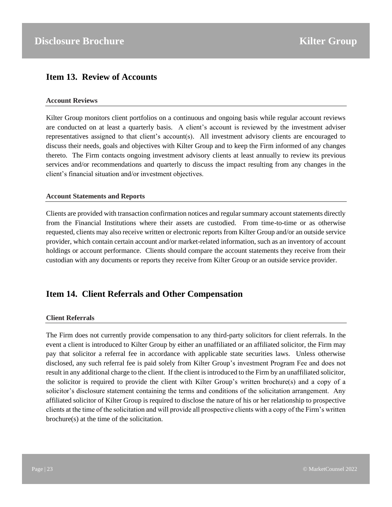## <span id="page-22-0"></span>**Item 13. Review of Accounts**

#### **Account Reviews**

Kilter Group monitors client portfolios on a continuous and ongoing basis while regular account reviews are conducted on at least a quarterly basis. A client's account is reviewed by the investment adviser representatives assigned to that client's account(s). All investment advisory clients are encouraged to discuss their needs, goals and objectives with Kilter Group and to keep the Firm informed of any changes thereto. The Firm contacts ongoing investment advisory clients at least annually to review its previous services and/or recommendations and quarterly to discuss the impact resulting from any changes in the client's financial situation and/or investment objectives.

#### **Account Statements and Reports**

Clients are provided with transaction confirmation notices and regular summary account statements directly from the Financial Institutions where their assets are custodied. From time-to-time or as otherwise requested, clients may also receive written or electronic reports from Kilter Group and/or an outside service provider, which contain certain account and/or market-related information, such as an inventory of account holdings or account performance. Clients should compare the account statements they receive from their custodian with any documents or reports they receive from Kilter Group or an outside service provider.

## <span id="page-22-1"></span>**Item 14. Client Referrals and Other Compensation**

#### **Client Referrals**

The Firm does not currently provide compensation to any third-party solicitors for client referrals. In the event a client is introduced to Kilter Group by either an unaffiliated or an affiliated solicitor, the Firm may pay that solicitor a referral fee in accordance with applicable state securities laws. Unless otherwise disclosed, any such referral fee is paid solely from Kilter Group's investment Program Fee and does not result in any additional charge to the client. If the client is introduced to the Firm by an unaffiliated solicitor, the solicitor is required to provide the client with Kilter Group's written brochure(s) and a copy of a solicitor's disclosure statement containing the terms and conditions of the solicitation arrangement. Any affiliated solicitor of Kilter Group is required to disclose the nature of his or her relationship to prospective clients at the time of the solicitation and will provide all prospective clients with a copy of the Firm's written brochure(s) at the time of the solicitation.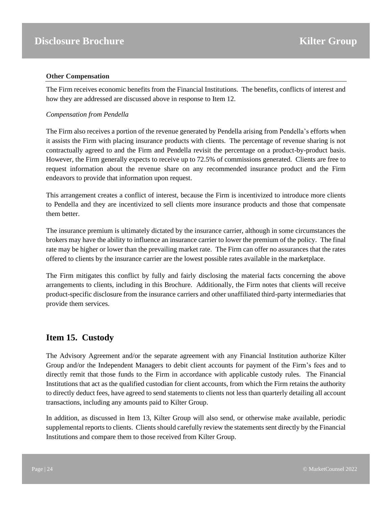#### **Other Compensation**

The Firm receives economic benefits from the Financial Institutions. The benefits, conflicts of interest and how they are addressed are discussed above in response to Item 12.

#### *Compensation from Pendella*

The Firm also receives a portion of the revenue generated by Pendella arising from Pendella's efforts when it assists the Firm with placing insurance products with clients. The percentage of revenue sharing is not contractually agreed to and the Firm and Pendella revisit the percentage on a product-by-product basis. However, the Firm generally expects to receive up to 72.5% of commissions generated. Clients are free to request information about the revenue share on any recommended insurance product and the Firm endeavors to provide that information upon request.

This arrangement creates a conflict of interest, because the Firm is incentivized to introduce more clients to Pendella and they are incentivized to sell clients more insurance products and those that compensate them better.

The insurance premium is ultimately dictated by the insurance carrier, although in some circumstances the brokers may have the ability to influence an insurance carrier to lower the premium of the policy. The final rate may be higher or lower than the prevailing market rate. The Firm can offer no assurances that the rates offered to clients by the insurance carrier are the lowest possible rates available in the marketplace.

The Firm mitigates this conflict by fully and fairly disclosing the material facts concerning the above arrangements to clients, including in this Brochure. Additionally, the Firm notes that clients will receive product-specific disclosure from the insurance carriers and other unaffiliated third-party intermediaries that provide them services.

## <span id="page-23-0"></span>**Item 15. Custody**

The Advisory Agreement and/or the separate agreement with any Financial Institution authorize Kilter Group and/or the Independent Managers to debit client accounts for payment of the Firm's fees and to directly remit that those funds to the Firm in accordance with applicable custody rules. The Financial Institutions that act as the qualified custodian for client accounts, from which the Firm retains the authority to directly deduct fees, have agreed to send statements to clients not less than quarterly detailing all account transactions, including any amounts paid to Kilter Group.

In addition, as discussed in Item 13, Kilter Group will also send, or otherwise make available, periodic supplemental reports to clients. Clients should carefully review the statements sent directly by the Financial Institutions and compare them to those received from Kilter Group.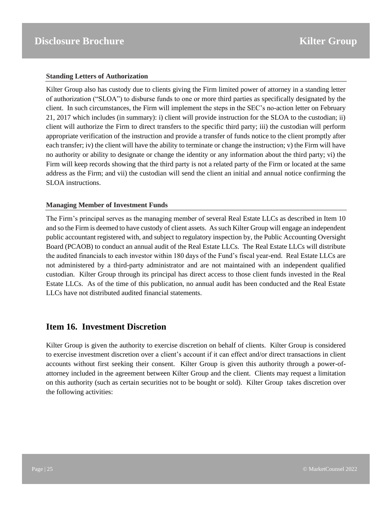#### **Standing Letters of Authorization**

Kilter Group also has custody due to clients giving the Firm limited power of attorney in a standing letter of authorization ("SLOA") to disburse funds to one or more third parties as specifically designated by the client. In such circumstances, the Firm will implement the steps in the SEC's no-action letter on February 21, 2017 which includes (in summary): i) client will provide instruction for the SLOA to the custodian; ii) client will authorize the Firm to direct transfers to the specific third party; iii) the custodian will perform appropriate verification of the instruction and provide a transfer of funds notice to the client promptly after each transfer; iv) the client will have the ability to terminate or change the instruction; v) the Firm will have no authority or ability to designate or change the identity or any information about the third party; vi) the Firm will keep records showing that the third party is not a related party of the Firm or located at the same address as the Firm; and vii) the custodian will send the client an initial and annual notice confirming the SLOA instructions.

#### **Managing Member of Investment Funds**

The Firm's principal serves as the managing member of several Real Estate LLCs as described in Item 10 and so the Firm is deemed to have custody of client assets. As such Kilter Group will engage an independent public accountant registered with, and subject to regulatory inspection by, the Public Accounting Oversight Board (PCAOB) to conduct an annual audit of the Real Estate LLCs. The Real Estate LLCs will distribute the audited financials to each investor within 180 days of the Fund's fiscal year-end. Real Estate LLCs are not administered by a third-party administrator and are not maintained with an independent qualified custodian. Kilter Group through its principal has direct access to those client funds invested in the Real Estate LLCs. As of the time of this publication, no annual audit has been conducted and the Real Estate LLCs have not distributed audited financial statements.

## <span id="page-24-0"></span>**Item 16. Investment Discretion**

Kilter Group is given the authority to exercise discretion on behalf of clients. Kilter Group is considered to exercise investment discretion over a client's account if it can effect and/or direct transactions in client accounts without first seeking their consent. Kilter Group is given this authority through a power-ofattorney included in the agreement between Kilter Group and the client. Clients may request a limitation on this authority (such as certain securities not to be bought or sold). Kilter Group takes discretion over the following activities: